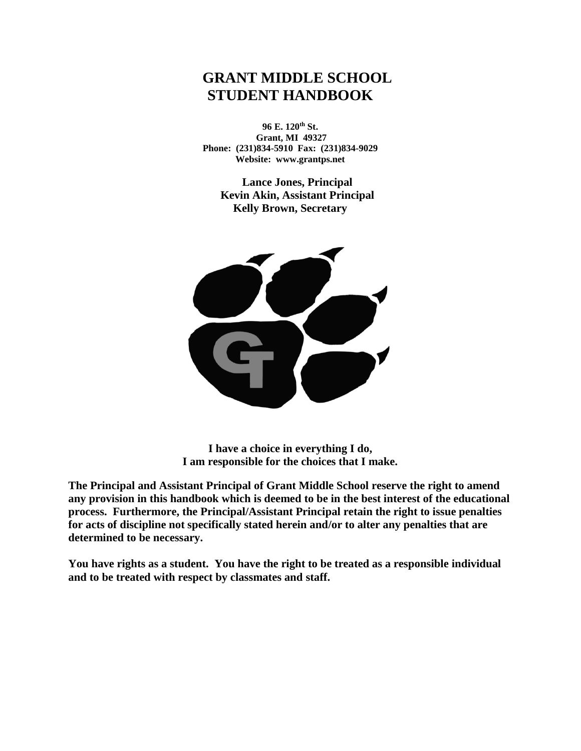# **GRANT MIDDLE SCHOOL STUDENT HANDBOOK**

**96 E. 120th St. Grant, MI 49327 Phone: (231)834-5910 Fax: (231)834-9029 Website: www.grantps.net**

**Lance Jones, Principal Kevin Akin, Assistant Principal Kelly Brown, Secretary**



**I have a choice in everything I do, I am responsible for the choices that I make.**

**The Principal and Assistant Principal of Grant Middle School reserve the right to amend any provision in this handbook which is deemed to be in the best interest of the educational process. Furthermore, the Principal/Assistant Principal retain the right to issue penalties for acts of discipline not specifically stated herein and/or to alter any penalties that are determined to be necessary.**

**You have rights as a student. You have the right to be treated as a responsible individual and to be treated with respect by classmates and staff.**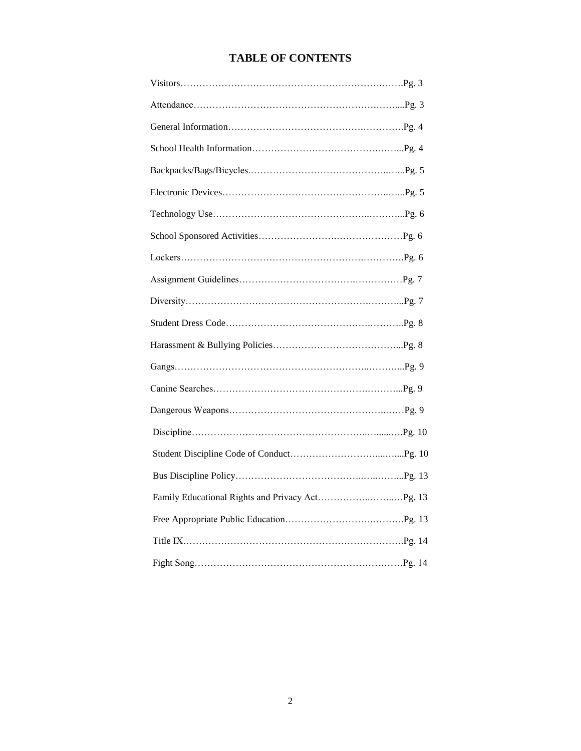## **TABLE OF CONTENTS**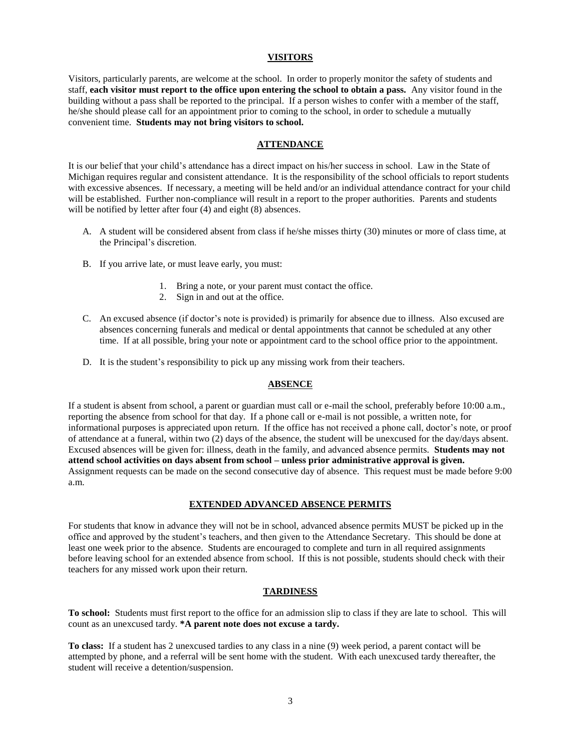### **VISITORS**

Visitors, particularly parents, are welcome at the school. In order to properly monitor the safety of students and staff, **each visitor must report to the office upon entering the school to obtain a pass.** Any visitor found in the building without a pass shall be reported to the principal. If a person wishes to confer with a member of the staff, he/she should please call for an appointment prior to coming to the school, in order to schedule a mutually convenient time. **Students may not bring visitors to school.**

#### **ATTENDANCE**

It is our belief that your child's attendance has a direct impact on his/her success in school. Law in the State of Michigan requires regular and consistent attendance. It is the responsibility of the school officials to report students with excessive absences. If necessary, a meeting will be held and/or an individual attendance contract for your child will be established. Further non-compliance will result in a report to the proper authorities. Parents and students will be notified by letter after four  $(4)$  and eight  $(8)$  absences.

- A. A student will be considered absent from class if he/she misses thirty (30) minutes or more of class time, at the Principal's discretion.
- B. If you arrive late, or must leave early, you must:
	- 1. Bring a note, or your parent must contact the office.
	- 2. Sign in and out at the office.
- C. An excused absence (if doctor's note is provided) is primarily for absence due to illness. Also excused are absences concerning funerals and medical or dental appointments that cannot be scheduled at any other time. If at all possible, bring your note or appointment card to the school office prior to the appointment.
- D. It is the student's responsibility to pick up any missing work from their teachers.

#### **ABSENCE**

If a student is absent from school, a parent or guardian must call or e-mail the school, preferably before 10:00 a.m., reporting the absence from school for that day. If a phone call or e-mail is not possible, a written note, for informational purposes is appreciated upon return. If the office has not received a phone call, doctor's note, or proof of attendance at a funeral, within two (2) days of the absence, the student will be unexcused for the day/days absent. Excused absences will be given for: illness, death in the family, and advanced absence permits. **Students may not attend school activities on days absent from school – unless prior administrative approval is given.** Assignment requests can be made on the second consecutive day of absence. This request must be made before 9:00 a.m.

#### **EXTENDED ADVANCED ABSENCE PERMITS**

For students that know in advance they will not be in school, advanced absence permits MUST be picked up in the office and approved by the student's teachers, and then given to the Attendance Secretary. This should be done at least one week prior to the absence. Students are encouraged to complete and turn in all required assignments before leaving school for an extended absence from school. If this is not possible, students should check with their teachers for any missed work upon their return.

#### **TARDINESS**

**To school:** Students must first report to the office for an admission slip to class if they are late to school. This will count as an unexcused tardy. **\*A parent note does not excuse a tardy.**

**To class:** If a student has 2 unexcused tardies to any class in a nine (9) week period, a parent contact will be attempted by phone, and a referral will be sent home with the student. With each unexcused tardy thereafter, the student will receive a detention/suspension.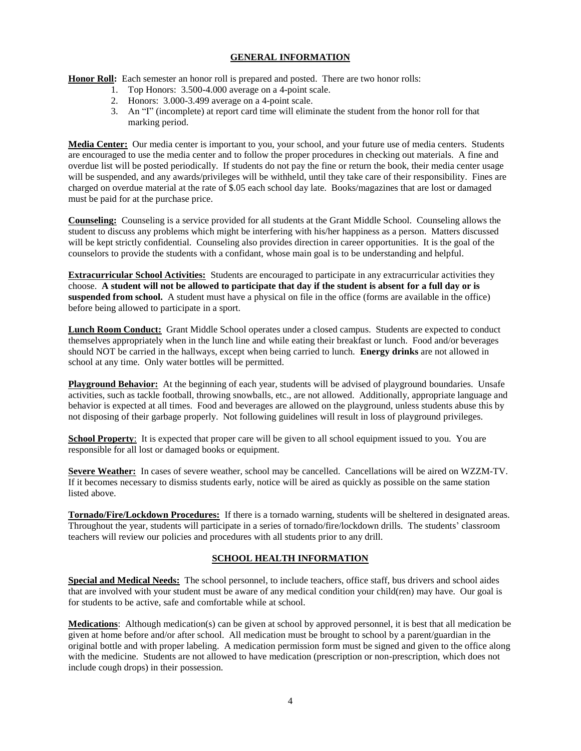## **GENERAL INFORMATION**

Honor Roll: Each semester an honor roll is prepared and posted. There are two honor rolls:

- 1. Top Honors: 3.500-4.000 average on a 4-point scale.
- 2. Honors: 3.000-3.499 average on a 4-point scale.
- 3. An "I" (incomplete) at report card time will eliminate the student from the honor roll for that marking period.

**Media Center:** Our media center is important to you, your school, and your future use of media centers. Students are encouraged to use the media center and to follow the proper procedures in checking out materials. A fine and overdue list will be posted periodically. If students do not pay the fine or return the book, their media center usage will be suspended, and any awards/privileges will be withheld, until they take care of their responsibility. Fines are charged on overdue material at the rate of \$.05 each school day late. Books/magazines that are lost or damaged must be paid for at the purchase price.

**Counseling:** Counseling is a service provided for all students at the Grant Middle School. Counseling allows the student to discuss any problems which might be interfering with his/her happiness as a person. Matters discussed will be kept strictly confidential. Counseling also provides direction in career opportunities. It is the goal of the counselors to provide the students with a confidant, whose main goal is to be understanding and helpful.

**Extracurricular School Activities:** Students are encouraged to participate in any extracurricular activities they choose. **A student will not be allowed to participate that day if the student is absent for a full day or is suspended from school.** A student must have a physical on file in the office (forms are available in the office) before being allowed to participate in a sport.

**Lunch Room Conduct:** Grant Middle School operates under a closed campus. Students are expected to conduct themselves appropriately when in the lunch line and while eating their breakfast or lunch. Food and/or beverages should NOT be carried in the hallways, except when being carried to lunch. **Energy drinks** are not allowed in school at any time. Only water bottles will be permitted.

**Playground Behavior:** At the beginning of each year, students will be advised of playground boundaries. Unsafe activities, such as tackle football, throwing snowballs, etc., are not allowed. Additionally, appropriate language and behavior is expected at all times. Food and beverages are allowed on the playground, unless students abuse this by not disposing of their garbage properly. Not following guidelines will result in loss of playground privileges.

**School Property:** It is expected that proper care will be given to all school equipment issued to you. You are responsible for all lost or damaged books or equipment.

**Severe Weather:** In cases of severe weather, school may be cancelled. Cancellations will be aired on WZZM-TV. If it becomes necessary to dismiss students early, notice will be aired as quickly as possible on the same station listed above.

**Tornado/Fire/Lockdown Procedures:** If there is a tornado warning, students will be sheltered in designated areas. Throughout the year, students will participate in a series of tornado/fire/lockdown drills. The students' classroom teachers will review our policies and procedures with all students prior to any drill.

## **SCHOOL HEALTH INFORMATION**

**Special and Medical Needs:** The school personnel, to include teachers, office staff, bus drivers and school aides that are involved with your student must be aware of any medical condition your child(ren) may have. Our goal is for students to be active, safe and comfortable while at school.

**Medications**: Although medication(s) can be given at school by approved personnel, it is best that all medication be given at home before and/or after school. All medication must be brought to school by a parent/guardian in the original bottle and with proper labeling. A medication permission form must be signed and given to the office along with the medicine. Students are not allowed to have medication (prescription or non-prescription, which does not include cough drops) in their possession.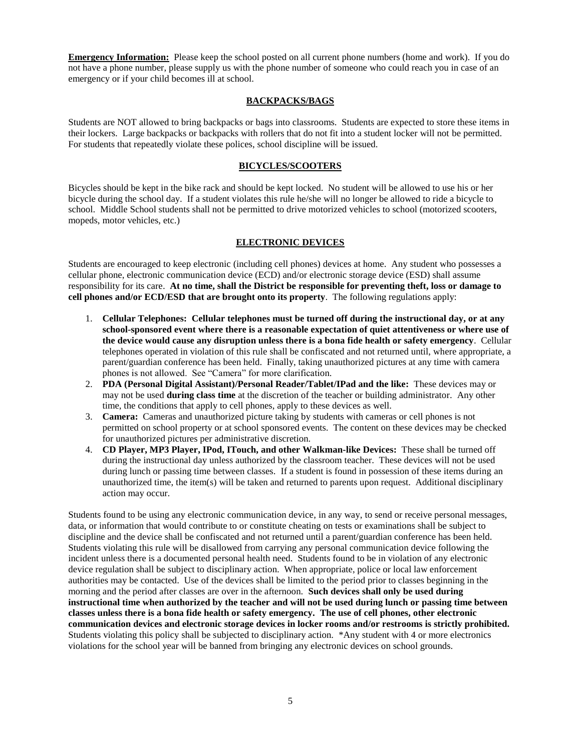**Emergency Information:** Please keep the school posted on all current phone numbers (home and work). If you do not have a phone number, please supply us with the phone number of someone who could reach you in case of an emergency or if your child becomes ill at school.

## **BACKPACKS/BAGS**

Students are NOT allowed to bring backpacks or bags into classrooms. Students are expected to store these items in their lockers. Large backpacks or backpacks with rollers that do not fit into a student locker will not be permitted. For students that repeatedly violate these polices, school discipline will be issued.

## **BICYCLES/SCOOTERS**

Bicycles should be kept in the bike rack and should be kept locked. No student will be allowed to use his or her bicycle during the school day. If a student violates this rule he/she will no longer be allowed to ride a bicycle to school. Middle School students shall not be permitted to drive motorized vehicles to school (motorized scooters, mopeds, motor vehicles, etc.)

#### **ELECTRONIC DEVICES**

Students are encouraged to keep electronic (including cell phones) devices at home. Any student who possesses a cellular phone, electronic communication device (ECD) and/or electronic storage device (ESD) shall assume responsibility for its care. **At no time, shall the District be responsible for preventing theft, loss or damage to cell phones and/or ECD/ESD that are brought onto its property**. The following regulations apply:

- 1. **Cellular Telephones: Cellular telephones must be turned off during the instructional day, or at any school-sponsored event where there is a reasonable expectation of quiet attentiveness or where use of the device would cause any disruption unless there is a bona fide health or safety emergency**. Cellular telephones operated in violation of this rule shall be confiscated and not returned until, where appropriate, a parent/guardian conference has been held. Finally, taking unauthorized pictures at any time with camera phones is not allowed. See "Camera" for more clarification.
- 2. **PDA (Personal Digital Assistant)/Personal Reader/Tablet/IPad and the like:** These devices may or may not be used **during class time** at the discretion of the teacher or building administrator. Any other time, the conditions that apply to cell phones, apply to these devices as well.
- 3. **Camera:** Cameras and unauthorized picture taking by students with cameras or cell phones is not permitted on school property or at school sponsored events. The content on these devices may be checked for unauthorized pictures per administrative discretion.
- 4. **CD Player, MP3 Player, IPod, ITouch, and other Walkman-like Devices:** These shall be turned off during the instructional day unless authorized by the classroom teacher. These devices will not be used during lunch or passing time between classes. If a student is found in possession of these items during an unauthorized time, the item(s) will be taken and returned to parents upon request. Additional disciplinary action may occur.

Students found to be using any electronic communication device, in any way, to send or receive personal messages, data, or information that would contribute to or constitute cheating on tests or examinations shall be subject to discipline and the device shall be confiscated and not returned until a parent/guardian conference has been held. Students violating this rule will be disallowed from carrying any personal communication device following the incident unless there is a documented personal health need. Students found to be in violation of any electronic device regulation shall be subject to disciplinary action. When appropriate, police or local law enforcement authorities may be contacted. Use of the devices shall be limited to the period prior to classes beginning in the morning and the period after classes are over in the afternoon. **Such devices shall only be used during instructional time when authorized by the teacher and will not be used during lunch or passing time between classes unless there is a bona fide health or safety emergency. The use of cell phones, other electronic communication devices and electronic storage devices in locker rooms and/or restrooms is strictly prohibited.**  Students violating this policy shall be subjected to disciplinary action. \*Any student with 4 or more electronics violations for the school year will be banned from bringing any electronic devices on school grounds.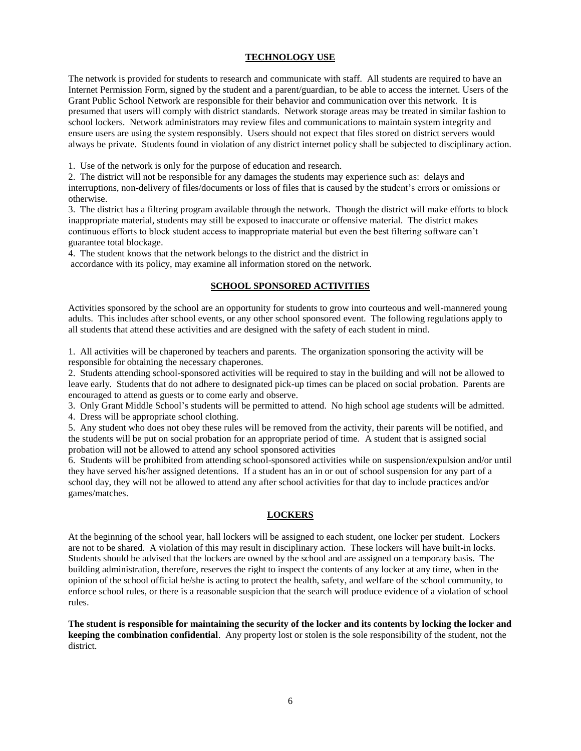## **TECHNOLOGY USE**

The network is provided for students to research and communicate with staff. All students are required to have an Internet Permission Form, signed by the student and a parent/guardian, to be able to access the internet. Users of the Grant Public School Network are responsible for their behavior and communication over this network. It is presumed that users will comply with district standards. Network storage areas may be treated in similar fashion to school lockers. Network administrators may review files and communications to maintain system integrity and ensure users are using the system responsibly. Users should not expect that files stored on district servers would always be private. Students found in violation of any district internet policy shall be subjected to disciplinary action.

1. Use of the network is only for the purpose of education and research.

2. The district will not be responsible for any damages the students may experience such as: delays and interruptions, non-delivery of files/documents or loss of files that is caused by the student's errors or omissions or otherwise.

3. The district has a filtering program available through the network. Though the district will make efforts to block inappropriate material, students may still be exposed to inaccurate or offensive material. The district makes continuous efforts to block student access to inappropriate material but even the best filtering software can't guarantee total blockage.

4. The student knows that the network belongs to the district and the district in accordance with its policy, may examine all information stored on the network.

#### **SCHOOL SPONSORED ACTIVITIES**

Activities sponsored by the school are an opportunity for students to grow into courteous and well-mannered young adults. This includes after school events, or any other school sponsored event. The following regulations apply to all students that attend these activities and are designed with the safety of each student in mind.

1. All activities will be chaperoned by teachers and parents. The organization sponsoring the activity will be responsible for obtaining the necessary chaperones.

2. Students attending school-sponsored activities will be required to stay in the building and will not be allowed to leave early. Students that do not adhere to designated pick-up times can be placed on social probation. Parents are encouraged to attend as guests or to come early and observe.

3. Only Grant Middle School's students will be permitted to attend. No high school age students will be admitted.

4. Dress will be appropriate school clothing.

5. Any student who does not obey these rules will be removed from the activity, their parents will be notified, and the students will be put on social probation for an appropriate period of time. A student that is assigned social probation will not be allowed to attend any school sponsored activities

6. Students will be prohibited from attending school-sponsored activities while on suspension/expulsion and/or until they have served his/her assigned detentions. If a student has an in or out of school suspension for any part of a school day, they will not be allowed to attend any after school activities for that day to include practices and/or games/matches.

#### **LOCKERS**

At the beginning of the school year, hall lockers will be assigned to each student, one locker per student. Lockers are not to be shared. A violation of this may result in disciplinary action. These lockers will have built-in locks. Students should be advised that the lockers are owned by the school and are assigned on a temporary basis. The building administration, therefore, reserves the right to inspect the contents of any locker at any time, when in the opinion of the school official he/she is acting to protect the health, safety, and welfare of the school community, to enforce school rules, or there is a reasonable suspicion that the search will produce evidence of a violation of school rules.

**The student is responsible for maintaining the security of the locker and its contents by locking the locker and keeping the combination confidential**. Any property lost or stolen is the sole responsibility of the student, not the district.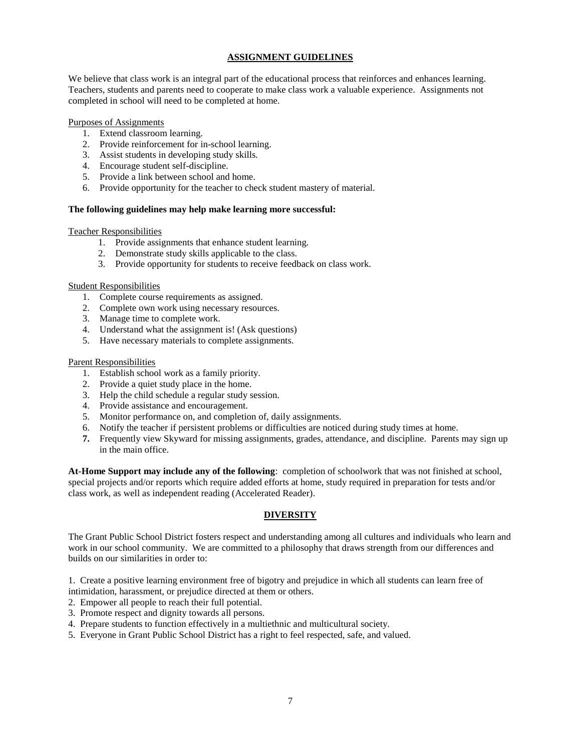## **ASSIGNMENT GUIDELINES**

We believe that class work is an integral part of the educational process that reinforces and enhances learning. Teachers, students and parents need to cooperate to make class work a valuable experience. Assignments not completed in school will need to be completed at home.

## Purposes of Assignments

- 1. Extend classroom learning.
- 2. Provide reinforcement for in-school learning.
- 3. Assist students in developing study skills.
- 4. Encourage student self-discipline.
- 5. Provide a link between school and home.
- 6. Provide opportunity for the teacher to check student mastery of material.

## **The following guidelines may help make learning more successful:**

## Teacher Responsibilities

- 1. Provide assignments that enhance student learning.
- 2. Demonstrate study skills applicable to the class.
- 3. Provide opportunity for students to receive feedback on class work.

#### Student Responsibilities

- 1. Complete course requirements as assigned.
- 2. Complete own work using necessary resources.
- 3. Manage time to complete work.
- 4. Understand what the assignment is! (Ask questions)
- 5. Have necessary materials to complete assignments.

## Parent Responsibilities

- 1. Establish school work as a family priority.
- 2. Provide a quiet study place in the home.
- 3. Help the child schedule a regular study session.
- 4. Provide assistance and encouragement.
- 5. Monitor performance on, and completion of, daily assignments.
- 6. Notify the teacher if persistent problems or difficulties are noticed during study times at home.
- **7.** Frequently view Skyward for missing assignments, grades, attendance, and discipline. Parents may sign up in the main office.

**At-Home Support may include any of the following**: completion of schoolwork that was not finished at school, special projects and/or reports which require added efforts at home, study required in preparation for tests and/or class work, as well as independent reading (Accelerated Reader).

## **DIVERSITY**

The Grant Public School District fosters respect and understanding among all cultures and individuals who learn and work in our school community. We are committed to a philosophy that draws strength from our differences and builds on our similarities in order to:

1. Create a positive learning environment free of bigotry and prejudice in which all students can learn free of

- intimidation, harassment, or prejudice directed at them or others.
- 2. Empower all people to reach their full potential.
- 3. Promote respect and dignity towards all persons.
- 4. Prepare students to function effectively in a multiethnic and multicultural society.
- 5. Everyone in Grant Public School District has a right to feel respected, safe, and valued.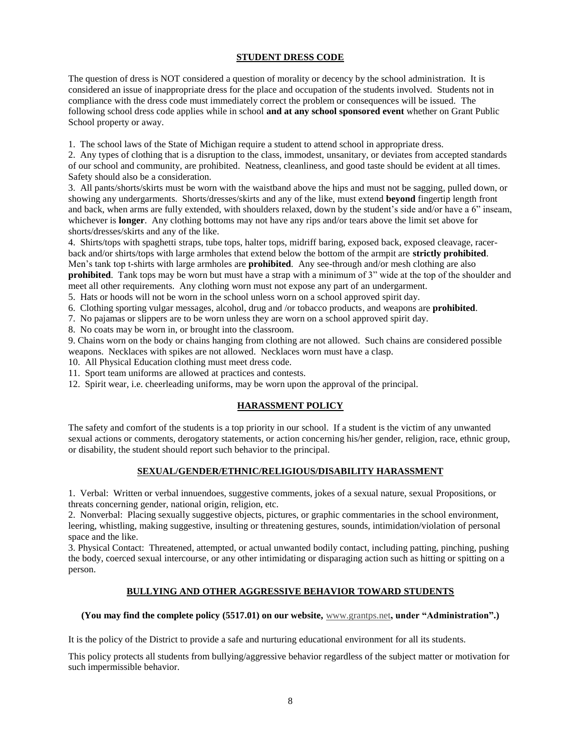## **STUDENT DRESS CODE**

The question of dress is NOT considered a question of morality or decency by the school administration. It is considered an issue of inappropriate dress for the place and occupation of the students involved. Students not in compliance with the dress code must immediately correct the problem or consequences will be issued. The following school dress code applies while in school **and at any school sponsored event** whether on Grant Public School property or away.

1. The school laws of the State of Michigan require a student to attend school in appropriate dress.

2. Any types of clothing that is a disruption to the class, immodest, unsanitary, or deviates from accepted standards of our school and community, are prohibited. Neatness, cleanliness, and good taste should be evident at all times. Safety should also be a consideration.

3. All pants/shorts/skirts must be worn with the waistband above the hips and must not be sagging, pulled down, or showing any undergarments. Shorts/dresses/skirts and any of the like, must extend **beyond** fingertip length front and back, when arms are fully extended, with shoulders relaxed, down by the student's side and/or have a 6" inseam, whichever is **longer**. Any clothing bottoms may not have any rips and/or tears above the limit set above for shorts/dresses/skirts and any of the like.

4. Shirts/tops with spaghetti straps, tube tops, halter tops, midriff baring, exposed back, exposed cleavage, racerback and/or shirts/tops with large armholes that extend below the bottom of the armpit are **strictly prohibited**. Men's tank top t-shirts with large armholes are **prohibited**. Any see-through and/or mesh clothing are also **prohibited**. Tank tops may be worn but must have a strap with a minimum of 3" wide at the top of the shoulder and meet all other requirements. Any clothing worn must not expose any part of an undergarment.

5. Hats or hoods will not be worn in the school unless worn on a school approved spirit day.

6. Clothing sporting vulgar messages, alcohol, drug and /or tobacco products, and weapons are **prohibited**.

7. No pajamas or slippers are to be worn unless they are worn on a school approved spirit day.

8. No coats may be worn in, or brought into the classroom.

9. Chains worn on the body or chains hanging from clothing are not allowed. Such chains are considered possible weapons. Necklaces with spikes are not allowed. Necklaces worn must have a clasp.

10. All Physical Education clothing must meet dress code.

11. Sport team uniforms are allowed at practices and contests.

12. Spirit wear, i.e. cheerleading uniforms, may be worn upon the approval of the principal.

## **HARASSMENT POLICY**

The safety and comfort of the students is a top priority in our school. If a student is the victim of any unwanted sexual actions or comments, derogatory statements, or action concerning his/her gender, religion, race, ethnic group, or disability, the student should report such behavior to the principal.

## **SEXUAL/GENDER/ETHNIC/RELIGIOUS/DISABILITY HARASSMENT**

1. Verbal: Written or verbal innuendoes, suggestive comments, jokes of a sexual nature, sexual Propositions, or threats concerning gender, national origin, religion, etc.

2. Nonverbal: Placing sexually suggestive objects, pictures, or graphic commentaries in the school environment, leering, whistling, making suggestive, insulting or threatening gestures, sounds, intimidation/violation of personal space and the like.

3. Physical Contact: Threatened, attempted, or actual unwanted bodily contact, including patting, pinching, pushing the body, coerced sexual intercourse, or any other intimidating or disparaging action such as hitting or spitting on a person.

## **BULLYING AND OTHER AGGRESSIVE BEHAVIOR TOWARD STUDENTS**

## **(You may find the complete policy (5517.01) on our website,** [www.grantps.net](http://www.grantps.net/)**, under "Administration".)**

It is the policy of the District to provide a safe and nurturing educational environment for all its students.

This policy protects all students from bullying/aggressive behavior regardless of the subject matter or motivation for such impermissible behavior.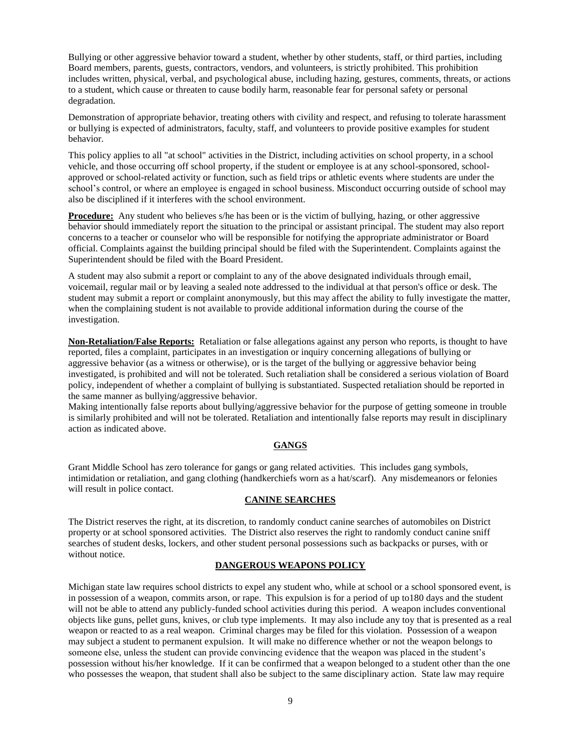Bullying or other aggressive behavior toward a student, whether by other students, staff, or third parties, including Board members, parents, guests, contractors, vendors, and volunteers, is strictly prohibited. This prohibition includes written, physical, verbal, and psychological abuse, including hazing, gestures, comments, threats, or actions to a student, which cause or threaten to cause bodily harm, reasonable fear for personal safety or personal degradation.

Demonstration of appropriate behavior, treating others with civility and respect, and refusing to tolerate harassment or bullying is expected of administrators, faculty, staff, and volunteers to provide positive examples for student behavior.

This policy applies to all "at school" activities in the District, including activities on school property, in a school vehicle, and those occurring off school property, if the student or employee is at any school-sponsored, schoolapproved or school-related activity or function, such as field trips or athletic events where students are under the school's control, or where an employee is engaged in school business. Misconduct occurring outside of school may also be disciplined if it interferes with the school environment.

**Procedure:** Any student who believes s/he has been or is the victim of bullying, hazing, or other aggressive behavior should immediately report the situation to the principal or assistant principal. The student may also report concerns to a teacher or counselor who will be responsible for notifying the appropriate administrator or Board official. Complaints against the building principal should be filed with the Superintendent. Complaints against the Superintendent should be filed with the Board President.

A student may also submit a report or complaint to any of the above designated individuals through email, voicemail, regular mail or by leaving a sealed note addressed to the individual at that person's office or desk. The student may submit a report or complaint anonymously, but this may affect the ability to fully investigate the matter, when the complaining student is not available to provide additional information during the course of the investigation.

**Non-Retaliation/False Reports:** Retaliation or false allegations against any person who reports, is thought to have reported, files a complaint, participates in an investigation or inquiry concerning allegations of bullying or aggressive behavior (as a witness or otherwise), or is the target of the bullying or aggressive behavior being investigated, is prohibited and will not be tolerated. Such retaliation shall be considered a serious violation of Board policy, independent of whether a complaint of bullying is substantiated. Suspected retaliation should be reported in the same manner as bullying/aggressive behavior.

Making intentionally false reports about bullying/aggressive behavior for the purpose of getting someone in trouble is similarly prohibited and will not be tolerated. Retaliation and intentionally false reports may result in disciplinary action as indicated above.

#### **GANGS**

Grant Middle School has zero tolerance for gangs or gang related activities. This includes gang symbols, intimidation or retaliation, and gang clothing (handkerchiefs worn as a hat/scarf). Any misdemeanors or felonies will result in police contact.

#### **CANINE SEARCHES**

The District reserves the right, at its discretion, to randomly conduct canine searches of automobiles on District property or at school sponsored activities. The District also reserves the right to randomly conduct canine sniff searches of student desks, lockers, and other student personal possessions such as backpacks or purses, with or without notice.

#### **DANGEROUS WEAPONS POLICY**

Michigan state law requires school districts to expel any student who, while at school or a school sponsored event, is in possession of a weapon, commits arson, or rape. This expulsion is for a period of up to180 days and the student will not be able to attend any publicly-funded school activities during this period. A weapon includes conventional objects like guns, pellet guns, knives, or club type implements. It may also include any toy that is presented as a real weapon or reacted to as a real weapon. Criminal charges may be filed for this violation. Possession of a weapon may subject a student to permanent expulsion. It will make no difference whether or not the weapon belongs to someone else, unless the student can provide convincing evidence that the weapon was placed in the student's possession without his/her knowledge. If it can be confirmed that a weapon belonged to a student other than the one who possesses the weapon, that student shall also be subject to the same disciplinary action. State law may require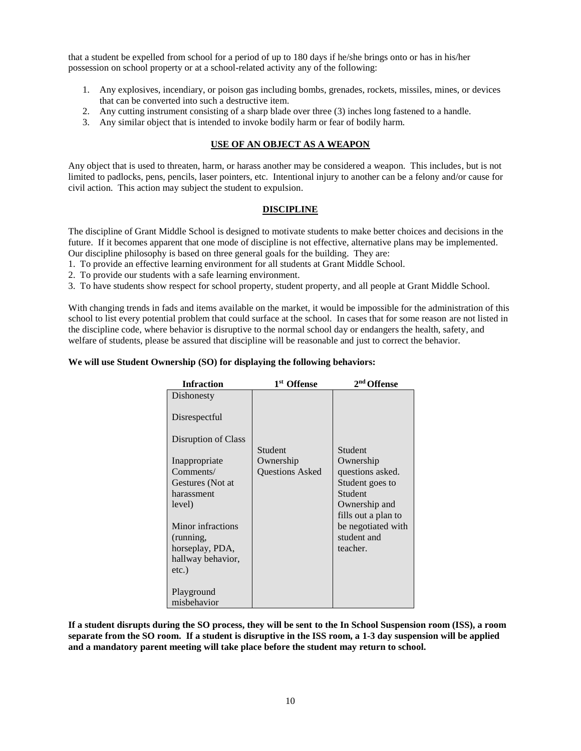that a student be expelled from school for a period of up to 180 days if he/she brings onto or has in his/her possession on school property or at a school-related activity any of the following:

- 1. Any explosives, incendiary, or poison gas including bombs, grenades, rockets, missiles, mines, or devices that can be converted into such a destructive item.
- 2. Any cutting instrument consisting of a sharp blade over three (3) inches long fastened to a handle.
- 3. Any similar object that is intended to invoke bodily harm or fear of bodily harm.

## **USE OF AN OBJECT AS A WEAPON**

Any object that is used to threaten, harm, or harass another may be considered a weapon. This includes, but is not limited to padlocks, pens, pencils, laser pointers, etc. Intentional injury to another can be a felony and/or cause for civil action. This action may subject the student to expulsion.

## **DISCIPLINE**

The discipline of Grant Middle School is designed to motivate students to make better choices and decisions in the future. If it becomes apparent that one mode of discipline is not effective, alternative plans may be implemented. Our discipline philosophy is based on three general goals for the building. They are:

1. To provide an effective learning environment for all students at Grant Middle School.

2. To provide our students with a safe learning environment.

3. To have students show respect for school property, student property, and all people at Grant Middle School.

With changing trends in fads and items available on the market, it would be impossible for the administration of this school to list every potential problem that could surface at the school. In cases that for some reason are not listed in the discipline code, where behavior is disruptive to the normal school day or endangers the health, safety, and welfare of students, please be assured that discipline will be reasonable and just to correct the behavior.

#### **We will use Student Ownership (SO) for displaying the following behaviors:**

| <b>Infraction</b>   | 1 <sup>st</sup> Offense | 2 <sup>nd</sup> Offense              |
|---------------------|-------------------------|--------------------------------------|
| Dishonesty          |                         |                                      |
| Disrespectful       |                         |                                      |
| Disruption of Class | Student                 | Student                              |
|                     | Ownership               | Ownership                            |
| Inappropriate       |                         |                                      |
| Comments/           | <b>Ouestions Asked</b>  | questions asked.                     |
| Gestures (Not at    |                         | Student goes to                      |
| harassment          |                         | Student                              |
| level)              |                         | Ownership and<br>fills out a plan to |
| Minor infractions   |                         | be negotiated with                   |
| (running,           |                         | student and                          |
| horseplay, PDA,     |                         | teacher.                             |
| hallway behavior,   |                         |                                      |
| $etc.$ )            |                         |                                      |
|                     |                         |                                      |
| Playground          |                         |                                      |
| misbehavior         |                         |                                      |

**If a student disrupts during the SO process, they will be sent to the In School Suspension room (ISS), a room separate from the SO room. If a student is disruptive in the ISS room, a 1-3 day suspension will be applied and a mandatory parent meeting will take place before the student may return to school.**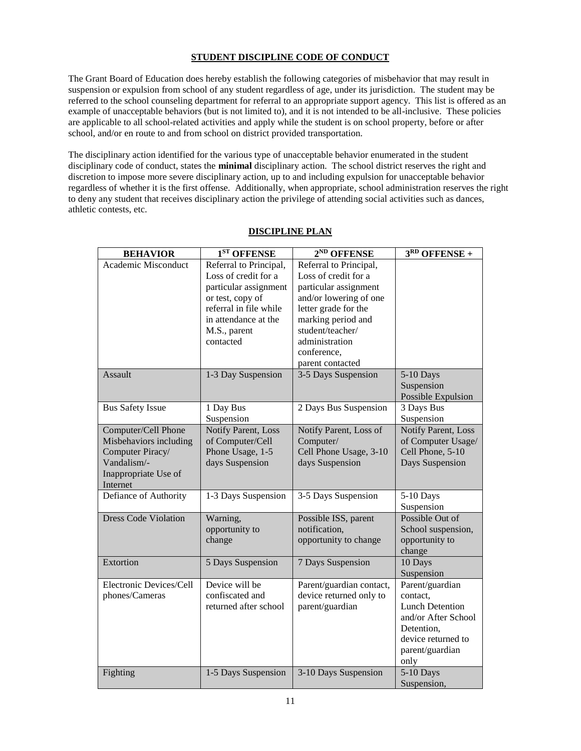## **STUDENT DISCIPLINE CODE OF CONDUCT**

The Grant Board of Education does hereby establish the following categories of misbehavior that may result in suspension or expulsion from school of any student regardless of age, under its jurisdiction. The student may be referred to the school counseling department for referral to an appropriate support agency. This list is offered as an example of unacceptable behaviors (but is not limited to), and it is not intended to be all-inclusive. These policies are applicable to all school-related activities and apply while the student is on school property, before or after school, and/or en route to and from school on district provided transportation.

The disciplinary action identified for the various type of unacceptable behavior enumerated in the student disciplinary code of conduct, states the **minimal** disciplinary action. The school district reserves the right and discretion to impose more severe disciplinary action, up to and including expulsion for unacceptable behavior regardless of whether it is the first offense. Additionally, when appropriate, school administration reserves the right to deny any student that receives disciplinary action the privilege of attending social activities such as dances, athletic contests, etc.

| <b>BEHAVIOR</b>                                                                                                      | 1 <sup>ST</sup> OFFENSE                                                                                                                                                    | 2 <sup>ND</sup> OFFENSE                                                                                                                                                                                                  | $3RD$ OFFENSE +                                                                                                                             |
|----------------------------------------------------------------------------------------------------------------------|----------------------------------------------------------------------------------------------------------------------------------------------------------------------------|--------------------------------------------------------------------------------------------------------------------------------------------------------------------------------------------------------------------------|---------------------------------------------------------------------------------------------------------------------------------------------|
| Academic Misconduct                                                                                                  | Referral to Principal,<br>Loss of credit for a<br>particular assignment<br>or test, copy of<br>referral in file while<br>in attendance at the<br>M.S., parent<br>contacted | Referral to Principal,<br>Loss of credit for a<br>particular assignment<br>and/or lowering of one<br>letter grade for the<br>marking period and<br>student/teacher/<br>administration<br>conference,<br>parent contacted |                                                                                                                                             |
| Assault                                                                                                              | 1-3 Day Suspension                                                                                                                                                         | 3-5 Days Suspension                                                                                                                                                                                                      | 5-10 Days<br>Suspension<br>Possible Expulsion                                                                                               |
| <b>Bus Safety Issue</b>                                                                                              | 1 Day Bus<br>Suspension                                                                                                                                                    | 2 Days Bus Suspension                                                                                                                                                                                                    | 3 Days Bus<br>Suspension                                                                                                                    |
| Computer/Cell Phone<br>Misbehaviors including<br>Computer Piracy/<br>Vandalism/-<br>Inappropriate Use of<br>Internet | Notify Parent, Loss<br>of Computer/Cell<br>Phone Usage, 1-5<br>days Suspension                                                                                             | Notify Parent, Loss of<br>Computer/<br>Cell Phone Usage, 3-10<br>days Suspension                                                                                                                                         | Notify Parent, Loss<br>of Computer Usage/<br>Cell Phone, 5-10<br>Days Suspension                                                            |
| Defiance of Authority                                                                                                | 1-3 Days Suspension                                                                                                                                                        | 3-5 Days Suspension                                                                                                                                                                                                      | 5-10 Days<br>Suspension                                                                                                                     |
| <b>Dress Code Violation</b>                                                                                          | Warning,<br>opportunity to<br>change                                                                                                                                       | Possible ISS, parent<br>notification,<br>opportunity to change                                                                                                                                                           | Possible Out of<br>School suspension,<br>opportunity to<br>change                                                                           |
| Extortion                                                                                                            | 5 Days Suspension                                                                                                                                                          | 7 Days Suspension                                                                                                                                                                                                        | 10 Days<br>Suspension                                                                                                                       |
| Electronic Devices/Cell<br>phones/Cameras                                                                            | Device will be<br>confiscated and<br>returned after school                                                                                                                 | Parent/guardian contact,<br>device returned only to<br>parent/guardian                                                                                                                                                   | Parent/guardian<br>contact,<br><b>Lunch Detention</b><br>and/or After School<br>Detention.<br>device returned to<br>parent/guardian<br>only |
| Fighting                                                                                                             | 1-5 Days Suspension                                                                                                                                                        | 3-10 Days Suspension                                                                                                                                                                                                     | 5-10 Days<br>Suspension,                                                                                                                    |

## **DISCIPLINE PLAN**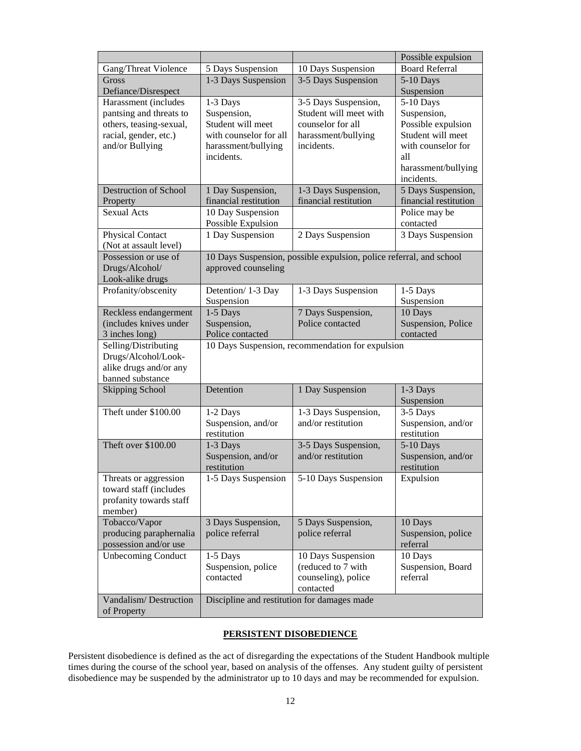|                                                                                                                        |                                                                                                             |                                                                                                          | Possible expulsion                                                                                                                    |
|------------------------------------------------------------------------------------------------------------------------|-------------------------------------------------------------------------------------------------------------|----------------------------------------------------------------------------------------------------------|---------------------------------------------------------------------------------------------------------------------------------------|
| Gang/Threat Violence                                                                                                   | 5 Days Suspension                                                                                           | 10 Days Suspension                                                                                       | <b>Board Referral</b>                                                                                                                 |
| Gross                                                                                                                  | 1-3 Days Suspension                                                                                         | 3-5 Days Suspension                                                                                      | 5-10 Days                                                                                                                             |
| Defiance/Disrespect                                                                                                    |                                                                                                             |                                                                                                          | Suspension                                                                                                                            |
| Harassment (includes<br>pantsing and threats to<br>others, teasing-sexual,<br>racial, gender, etc.)<br>and/or Bullying | 1-3 Days<br>Suspension,<br>Student will meet<br>with counselor for all<br>harassment/bullying<br>incidents. | 3-5 Days Suspension,<br>Student will meet with<br>counselor for all<br>harassment/bullying<br>incidents. | 5-10 Days<br>Suspension,<br>Possible expulsion<br>Student will meet<br>with counselor for<br>all<br>harassment/bullying<br>incidents. |
| <b>Destruction of School</b>                                                                                           | 1 Day Suspension,                                                                                           | 1-3 Days Suspension,                                                                                     | 5 Days Suspension,                                                                                                                    |
| Property                                                                                                               | financial restitution                                                                                       | financial restitution                                                                                    | financial restitution                                                                                                                 |
| <b>Sexual Acts</b>                                                                                                     | 10 Day Suspension<br>Possible Expulsion                                                                     |                                                                                                          | Police may be<br>contacted                                                                                                            |
| <b>Physical Contact</b><br>(Not at assault level)                                                                      | 1 Day Suspension                                                                                            | 2 Days Suspension                                                                                        | 3 Days Suspension                                                                                                                     |
| Possession or use of<br>Drugs/Alcohol/<br>Look-alike drugs                                                             | approved counseling                                                                                         | 10 Days Suspension, possible expulsion, police referral, and school                                      |                                                                                                                                       |
| Profanity/obscenity                                                                                                    | Detention/ 1-3 Day<br>Suspension                                                                            | 1-3 Days Suspension                                                                                      | 1-5 Days<br>Suspension                                                                                                                |
| Reckless endangerment                                                                                                  | 1-5 Days                                                                                                    | 7 Days Suspension,                                                                                       | 10 Days                                                                                                                               |
| (includes knives under                                                                                                 | Suspension,                                                                                                 | Police contacted                                                                                         | Suspension, Police                                                                                                                    |
| 3 inches long)                                                                                                         | Police contacted                                                                                            |                                                                                                          | contacted                                                                                                                             |
| Selling/Distributing<br>Drugs/Alcohol/Look-<br>alike drugs and/or any<br>banned substance                              |                                                                                                             | 10 Days Suspension, recommendation for expulsion                                                         |                                                                                                                                       |
| <b>Skipping School</b>                                                                                                 | Detention                                                                                                   | 1 Day Suspension                                                                                         | 1-3 Days<br>Suspension                                                                                                                |
| Theft under \$100.00                                                                                                   | 1-2 Days<br>Suspension, and/or<br>restitution                                                               | 1-3 Days Suspension,<br>and/or restitution                                                               | 3-5 Days<br>Suspension, and/or<br>restitution                                                                                         |
| Theft over \$100.00                                                                                                    | 1-3 Days<br>Suspension, and/or<br>restitution                                                               | 3-5 Days Suspension,<br>and/or restitution                                                               | 5-10 Days<br>Suspension, and/or<br>restitution                                                                                        |
| Threats or aggression<br>toward staff (includes<br>profanity towards staff<br>member)                                  | 1-5 Days Suspension                                                                                         | 5-10 Days Suspension                                                                                     | Expulsion                                                                                                                             |
| Tobacco/Vapor<br>producing paraphernalia<br>possession and/or use                                                      | 3 Days Suspension,<br>police referral                                                                       | 5 Days Suspension,<br>police referral                                                                    | 10 Days<br>Suspension, police<br>referral                                                                                             |
| <b>Unbecoming Conduct</b>                                                                                              | 1-5 Days<br>Suspension, police<br>contacted                                                                 | 10 Days Suspension<br>(reduced to 7 with<br>counseling), police<br>contacted                             | 10 Days<br>Suspension, Board<br>referral                                                                                              |
| Vandalism/Destruction<br>of Property                                                                                   | Discipline and restitution for damages made                                                                 |                                                                                                          |                                                                                                                                       |

## **PERSISTENT DISOBEDIENCE**

Persistent disobedience is defined as the act of disregarding the expectations of the Student Handbook multiple times during the course of the school year, based on analysis of the offenses. Any student guilty of persistent disobedience may be suspended by the administrator up to 10 days and may be recommended for expulsion.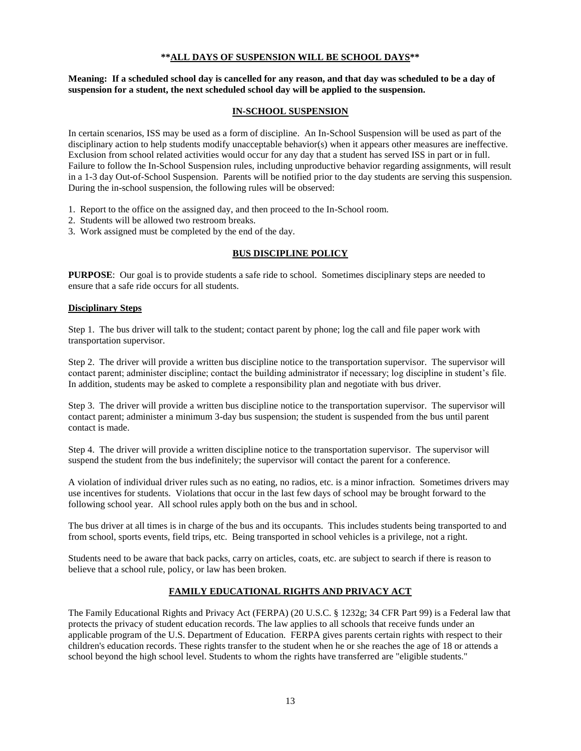## **\*\*ALL DAYS OF SUSPENSION WILL BE SCHOOL DAYS\*\***

## **Meaning: If a scheduled school day is cancelled for any reason, and that day was scheduled to be a day of suspension for a student, the next scheduled school day will be applied to the suspension.**

## **IN-SCHOOL SUSPENSION**

In certain scenarios, ISS may be used as a form of discipline. An In-School Suspension will be used as part of the disciplinary action to help students modify unacceptable behavior(s) when it appears other measures are ineffective. Exclusion from school related activities would occur for any day that a student has served ISS in part or in full. Failure to follow the In-School Suspension rules, including unproductive behavior regarding assignments, will result in a 1-3 day Out-of-School Suspension.Parents will be notified prior to the day students are serving this suspension. During the in-school suspension, the following rules will be observed:

1. Report to the office on the assigned day, and then proceed to the In-School room.

- 2. Students will be allowed two restroom breaks.
- 3. Work assigned must be completed by the end of the day.

## **BUS DISCIPLINE POLICY**

**PURPOSE:** Our goal is to provide students a safe ride to school. Sometimes disciplinary steps are needed to ensure that a safe ride occurs for all students.

## **Disciplinary Steps**

Step 1. The bus driver will talk to the student; contact parent by phone; log the call and file paper work with transportation supervisor.

Step 2. The driver will provide a written bus discipline notice to the transportation supervisor. The supervisor will contact parent; administer discipline; contact the building administrator if necessary; log discipline in student's file. In addition, students may be asked to complete a responsibility plan and negotiate with bus driver.

Step 3. The driver will provide a written bus discipline notice to the transportation supervisor. The supervisor will contact parent; administer a minimum 3-day bus suspension; the student is suspended from the bus until parent contact is made.

Step 4. The driver will provide a written discipline notice to the transportation supervisor. The supervisor will suspend the student from the bus indefinitely; the supervisor will contact the parent for a conference.

A violation of individual driver rules such as no eating, no radios, etc. is a minor infraction. Sometimes drivers may use incentives for students. Violations that occur in the last few days of school may be brought forward to the following school year. All school rules apply both on the bus and in school.

The bus driver at all times is in charge of the bus and its occupants. This includes students being transported to and from school, sports events, field trips, etc. Being transported in school vehicles is a privilege, not a right.

Students need to be aware that back packs, carry on articles, coats, etc. are subject to search if there is reason to believe that a school rule, policy, or law has been broken.

## **FAMILY EDUCATIONAL RIGHTS AND PRIVACY ACT**

The Family Educational Rights and Privacy Act (FERPA) (20 U.S.C. § 1232g; 34 CFR Part 99) is a Federal law that protects the privacy of student education records. The law applies to all schools that receive funds under an applicable program of the U.S. Department of Education. FERPA gives parents certain rights with respect to their children's education records. These rights transfer to the student when he or she reaches the age of 18 or attends a school beyond the high school level. Students to whom the rights have transferred are "eligible students."